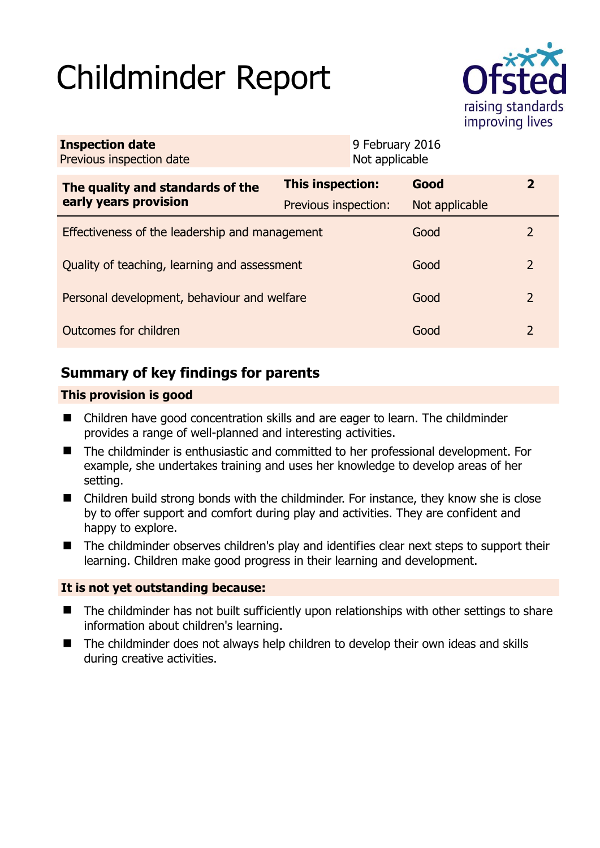# Childminder Report



| <b>Inspection date</b><br>Previous inspection date        |                      | 9 February 2016<br>Not applicable |                |                |
|-----------------------------------------------------------|----------------------|-----------------------------------|----------------|----------------|
| The quality and standards of the<br>early years provision | This inspection:     |                                   | Good           | $\mathbf{Z}$   |
|                                                           | Previous inspection: |                                   | Not applicable |                |
| Effectiveness of the leadership and management            |                      |                                   | Good           | $\mathcal{L}$  |
| Quality of teaching, learning and assessment              |                      |                                   | Good           | $\overline{2}$ |
| Personal development, behaviour and welfare               |                      |                                   | Good           | 2              |
| Outcomes for children                                     |                      |                                   | Good           | 2              |

# **Summary of key findings for parents**

## **This provision is good**

- Children have good concentration skills and are eager to learn. The childminder provides a range of well-planned and interesting activities.
- The childminder is enthusiastic and committed to her professional development. For example, she undertakes training and uses her knowledge to develop areas of her setting.
- Children build strong bonds with the childminder. For instance, they know she is close by to offer support and comfort during play and activities. They are confident and happy to explore.
- The childminder observes children's play and identifies clear next steps to support their learning. Children make good progress in their learning and development.

## **It is not yet outstanding because:**

- The childminder has not built sufficiently upon relationships with other settings to share information about children's learning.
- The childminder does not always help children to develop their own ideas and skills during creative activities.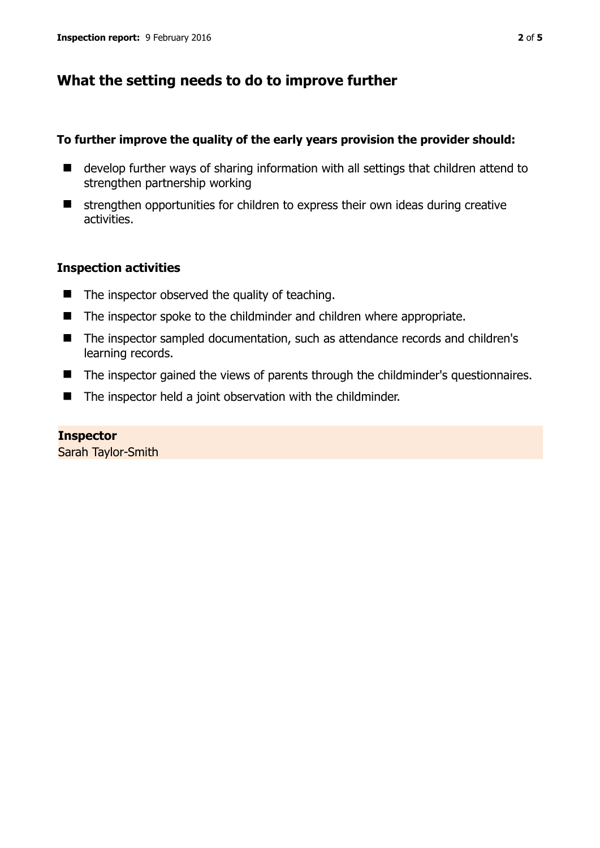## **What the setting needs to do to improve further**

## **To further improve the quality of the early years provision the provider should:**

- develop further ways of sharing information with all settings that children attend to strengthen partnership working
- strengthen opportunities for children to express their own ideas during creative activities.

## **Inspection activities**

- $\blacksquare$  The inspector observed the quality of teaching.
- The inspector spoke to the childminder and children where appropriate.
- The inspector sampled documentation, such as attendance records and children's learning records.
- The inspector gained the views of parents through the childminder's questionnaires.
- The inspector held a joint observation with the childminder.

**Inspector**  Sarah Taylor-Smith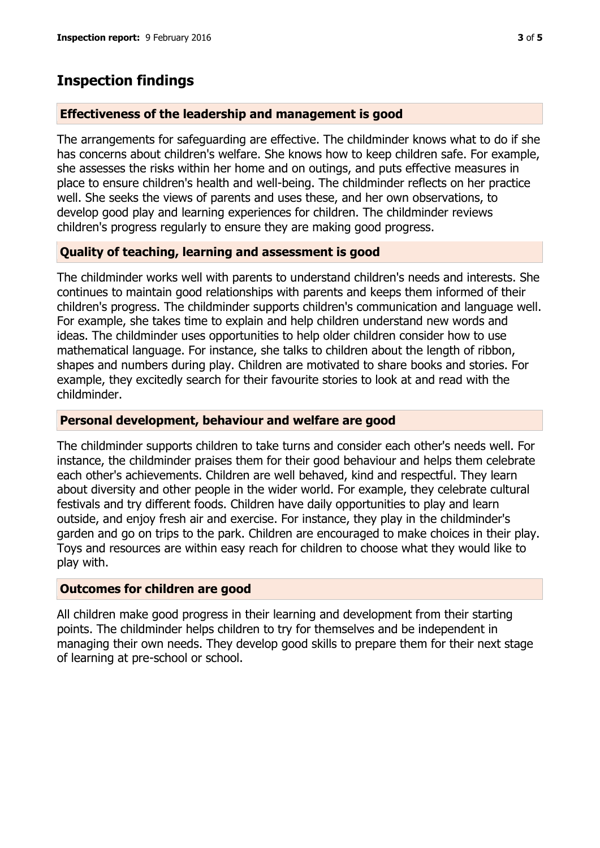## **Inspection findings**

#### **Effectiveness of the leadership and management is good**

The arrangements for safeguarding are effective. The childminder knows what to do if she has concerns about children's welfare. She knows how to keep children safe. For example, she assesses the risks within her home and on outings, and puts effective measures in place to ensure children's health and well-being. The childminder reflects on her practice well. She seeks the views of parents and uses these, and her own observations, to develop good play and learning experiences for children. The childminder reviews children's progress regularly to ensure they are making good progress.

### **Quality of teaching, learning and assessment is good**

The childminder works well with parents to understand children's needs and interests. She continues to maintain good relationships with parents and keeps them informed of their children's progress. The childminder supports children's communication and language well. For example, she takes time to explain and help children understand new words and ideas. The childminder uses opportunities to help older children consider how to use mathematical language. For instance, she talks to children about the length of ribbon, shapes and numbers during play. Children are motivated to share books and stories. For example, they excitedly search for their favourite stories to look at and read with the childminder.

#### **Personal development, behaviour and welfare are good**

The childminder supports children to take turns and consider each other's needs well. For instance, the childminder praises them for their good behaviour and helps them celebrate each other's achievements. Children are well behaved, kind and respectful. They learn about diversity and other people in the wider world. For example, they celebrate cultural festivals and try different foods. Children have daily opportunities to play and learn outside, and enjoy fresh air and exercise. For instance, they play in the childminder's garden and go on trips to the park. Children are encouraged to make choices in their play. Toys and resources are within easy reach for children to choose what they would like to play with.

#### **Outcomes for children are good**

All children make good progress in their learning and development from their starting points. The childminder helps children to try for themselves and be independent in managing their own needs. They develop good skills to prepare them for their next stage of learning at pre-school or school.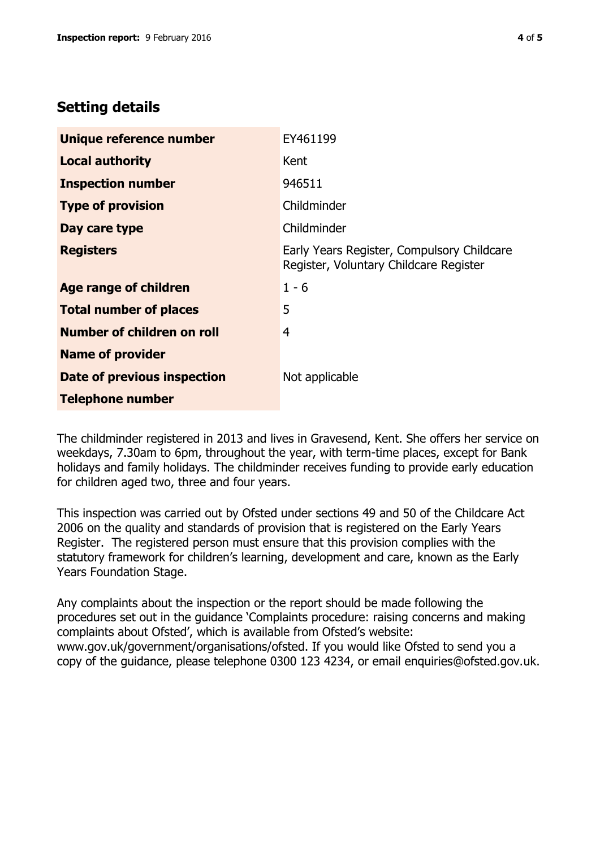# **Setting details**

| Unique reference number       | EY461199                                                                             |  |
|-------------------------------|--------------------------------------------------------------------------------------|--|
| <b>Local authority</b>        | Kent                                                                                 |  |
| <b>Inspection number</b>      | 946511                                                                               |  |
| <b>Type of provision</b>      | Childminder                                                                          |  |
| Day care type                 | Childminder                                                                          |  |
| <b>Registers</b>              | Early Years Register, Compulsory Childcare<br>Register, Voluntary Childcare Register |  |
| <b>Age range of children</b>  | $1 - 6$                                                                              |  |
| <b>Total number of places</b> | 5                                                                                    |  |
| Number of children on roll    | 4                                                                                    |  |
| <b>Name of provider</b>       |                                                                                      |  |
| Date of previous inspection   | Not applicable                                                                       |  |
| <b>Telephone number</b>       |                                                                                      |  |

The childminder registered in 2013 and lives in Gravesend, Kent. She offers her service on weekdays, 7.30am to 6pm, throughout the year, with term-time places, except for Bank holidays and family holidays. The childminder receives funding to provide early education for children aged two, three and four years.

This inspection was carried out by Ofsted under sections 49 and 50 of the Childcare Act 2006 on the quality and standards of provision that is registered on the Early Years Register. The registered person must ensure that this provision complies with the statutory framework for children's learning, development and care, known as the Early Years Foundation Stage.

Any complaints about the inspection or the report should be made following the procedures set out in the guidance 'Complaints procedure: raising concerns and making complaints about Ofsted', which is available from Ofsted's website: www.gov.uk/government/organisations/ofsted. If you would like Ofsted to send you a copy of the guidance, please telephone 0300 123 4234, or email enquiries@ofsted.gov.uk.